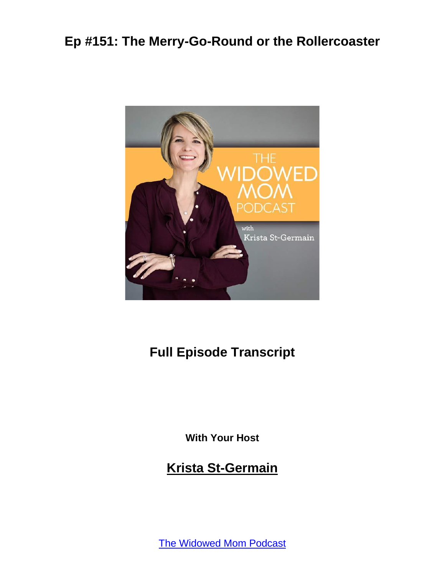

# **Full Episode Transcript**

**With Your Host**

#### **Krista St-Germain**

[The Widowed Mom Podcast](https://coachingwithkrista.com/podcast)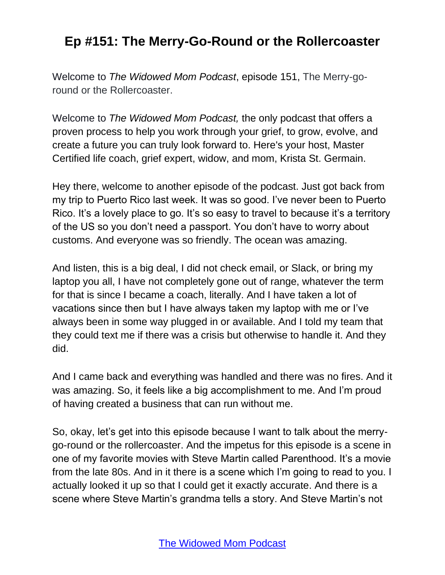Welcome to *The Widowed Mom Podcast*, episode 151, The Merry-goround or the Rollercoaster.

Welcome to *The Widowed Mom Podcast,* the only podcast that offers a proven process to help you work through your grief, to grow, evolve, and create a future you can truly look forward to. Here's your host, Master Certified life coach, grief expert, widow, and mom, Krista St. Germain.

Hey there, welcome to another episode of the podcast. Just got back from my trip to Puerto Rico last week. It was so good. I've never been to Puerto Rico. It's a lovely place to go. It's so easy to travel to because it's a territory of the US so you don't need a passport. You don't have to worry about customs. And everyone was so friendly. The ocean was amazing.

And listen, this is a big deal, I did not check email, or Slack, or bring my laptop you all, I have not completely gone out of range, whatever the term for that is since I became a coach, literally. And I have taken a lot of vacations since then but I have always taken my laptop with me or I've always been in some way plugged in or available. And I told my team that they could text me if there was a crisis but otherwise to handle it. And they did.

And I came back and everything was handled and there was no fires. And it was amazing. So, it feels like a big accomplishment to me. And I'm proud of having created a business that can run without me.

So, okay, let's get into this episode because I want to talk about the merrygo-round or the rollercoaster. And the impetus for this episode is a scene in one of my favorite movies with Steve Martin called Parenthood. It's a movie from the late 80s. And in it there is a scene which I'm going to read to you. I actually looked it up so that I could get it exactly accurate. And there is a scene where Steve Martin's grandma tells a story. And Steve Martin's not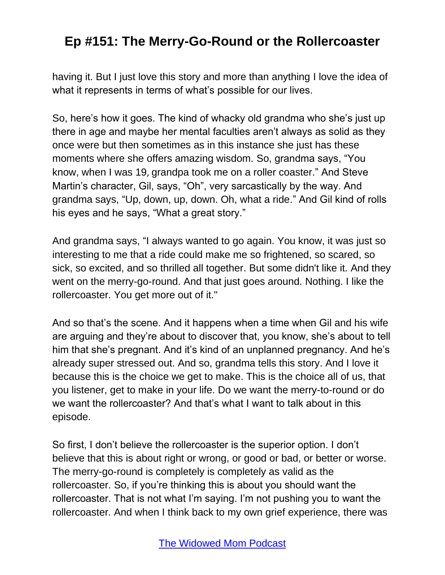having it. But I just love this story and more than anything I love the idea of what it represents in terms of what's possible for our lives.

So, here's how it goes. The kind of whacky old grandma who she's just up there in age and maybe her mental faculties aren't always as solid as they once were but then sometimes as in this instance she just has these moments where she offers amazing wisdom. So, grandma says, "You know, when I was 19, grandpa took me on a roller coaster." And Steve Martin's character, Gil, says, "Oh", very sarcastically by the way. And grandma says, "Up, down, up, down. Oh, what a ride." And Gil kind of rolls his eyes and he says, "What a great story."

And grandma says, "I always wanted to go again. You know, it was just so interesting to me that a ride could make me so frightened, so scared, so sick, so excited, and so thrilled all together. But some didn't like it. And they went on the merry-go-round. And that just goes around. Nothing. I like the rollercoaster. You get more out of it."

And so that's the scene. And it happens when a time when Gil and his wife are arguing and they're about to discover that, you know, she's about to tell him that she's pregnant. And it's kind of an unplanned pregnancy. And he's already super stressed out. And so, grandma tells this story. And I love it because this is the choice we get to make. This is the choice all of us, that you listener, get to make in your life. Do we want the merry-to-round or do we want the rollercoaster? And that's what I want to talk about in this episode.

So first, I don't believe the rollercoaster is the superior option. I don't believe that this is about right or wrong, or good or bad, or better or worse. The merry-go-round is completely is completely as valid as the rollercoaster. So, if you're thinking this is about you should want the rollercoaster. That is not what I'm saying. I'm not pushing you to want the rollercoaster. And when I think back to my own grief experience, there was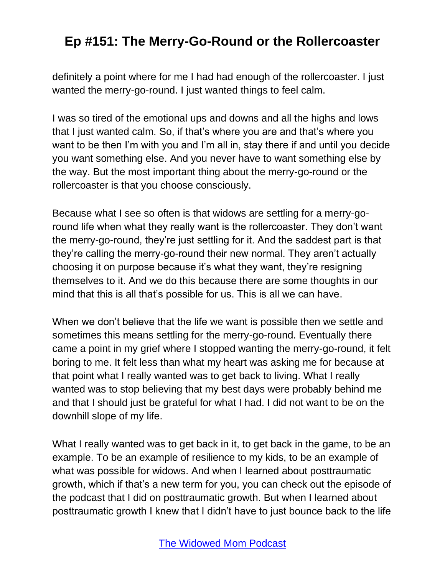definitely a point where for me I had had enough of the rollercoaster. I just wanted the merry-go-round. I just wanted things to feel calm.

I was so tired of the emotional ups and downs and all the highs and lows that I just wanted calm. So, if that's where you are and that's where you want to be then I'm with you and I'm all in, stay there if and until you decide you want something else. And you never have to want something else by the way. But the most important thing about the merry-go-round or the rollercoaster is that you choose consciously.

Because what I see so often is that widows are settling for a merry-goround life when what they really want is the rollercoaster. They don't want the merry-go-round, they're just settling for it. And the saddest part is that they're calling the merry-go-round their new normal. They aren't actually choosing it on purpose because it's what they want, they're resigning themselves to it. And we do this because there are some thoughts in our mind that this is all that's possible for us. This is all we can have.

When we don't believe that the life we want is possible then we settle and sometimes this means settling for the merry-go-round. Eventually there came a point in my grief where I stopped wanting the merry-go-round, it felt boring to me. It felt less than what my heart was asking me for because at that point what I really wanted was to get back to living. What I really wanted was to stop believing that my best days were probably behind me and that I should just be grateful for what I had. I did not want to be on the downhill slope of my life.

What I really wanted was to get back in it, to get back in the game, to be an example. To be an example of resilience to my kids, to be an example of what was possible for widows. And when I learned about posttraumatic growth, which if that's a new term for you, you can check out the episode of the podcast that I did on posttraumatic growth. But when I learned about posttraumatic growth I knew that I didn't have to just bounce back to the life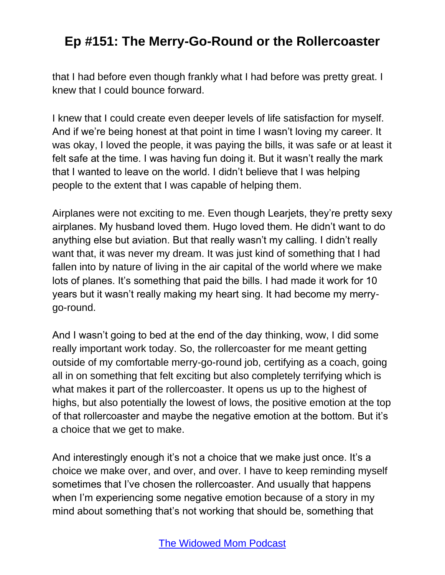that I had before even though frankly what I had before was pretty great. I knew that I could bounce forward.

I knew that I could create even deeper levels of life satisfaction for myself. And if we're being honest at that point in time I wasn't loving my career. It was okay, I loved the people, it was paying the bills, it was safe or at least it felt safe at the time. I was having fun doing it. But it wasn't really the mark that I wanted to leave on the world. I didn't believe that I was helping people to the extent that I was capable of helping them.

Airplanes were not exciting to me. Even though Learjets, they're pretty sexy airplanes. My husband loved them. Hugo loved them. He didn't want to do anything else but aviation. But that really wasn't my calling. I didn't really want that, it was never my dream. It was just kind of something that I had fallen into by nature of living in the air capital of the world where we make lots of planes. It's something that paid the bills. I had made it work for 10 years but it wasn't really making my heart sing. It had become my merrygo-round.

And I wasn't going to bed at the end of the day thinking, wow, I did some really important work today. So, the rollercoaster for me meant getting outside of my comfortable merry-go-round job, certifying as a coach, going all in on something that felt exciting but also completely terrifying which is what makes it part of the rollercoaster. It opens us up to the highest of highs, but also potentially the lowest of lows, the positive emotion at the top of that rollercoaster and maybe the negative emotion at the bottom. But it's a choice that we get to make.

And interestingly enough it's not a choice that we make just once. It's a choice we make over, and over, and over. I have to keep reminding myself sometimes that I've chosen the rollercoaster. And usually that happens when I'm experiencing some negative emotion because of a story in my mind about something that's not working that should be, something that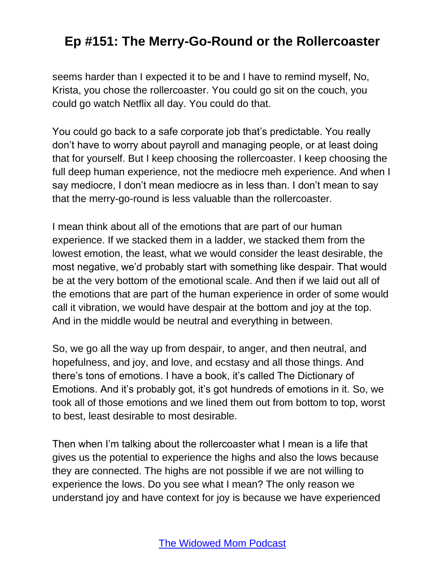seems harder than I expected it to be and I have to remind myself, No, Krista, you chose the rollercoaster. You could go sit on the couch, you could go watch Netflix all day. You could do that.

You could go back to a safe corporate job that's predictable. You really don't have to worry about payroll and managing people, or at least doing that for yourself. But I keep choosing the rollercoaster. I keep choosing the full deep human experience, not the mediocre meh experience. And when I say mediocre, I don't mean mediocre as in less than. I don't mean to say that the merry-go-round is less valuable than the rollercoaster.

I mean think about all of the emotions that are part of our human experience. If we stacked them in a ladder, we stacked them from the lowest emotion, the least, what we would consider the least desirable, the most negative, we'd probably start with something like despair. That would be at the very bottom of the emotional scale. And then if we laid out all of the emotions that are part of the human experience in order of some would call it vibration, we would have despair at the bottom and joy at the top. And in the middle would be neutral and everything in between.

So, we go all the way up from despair, to anger, and then neutral, and hopefulness, and joy, and love, and ecstasy and all those things. And there's tons of emotions. I have a book, it's called The Dictionary of Emotions. And it's probably got, it's got hundreds of emotions in it. So, we took all of those emotions and we lined them out from bottom to top, worst to best, least desirable to most desirable.

Then when I'm talking about the rollercoaster what I mean is a life that gives us the potential to experience the highs and also the lows because they are connected. The highs are not possible if we are not willing to experience the lows. Do you see what I mean? The only reason we understand joy and have context for joy is because we have experienced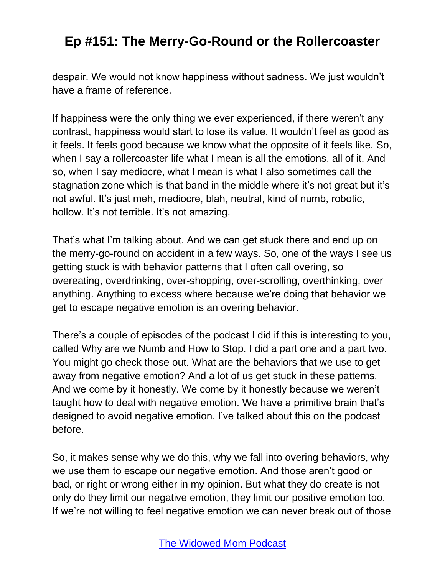despair. We would not know happiness without sadness. We just wouldn't have a frame of reference.

If happiness were the only thing we ever experienced, if there weren't any contrast, happiness would start to lose its value. It wouldn't feel as good as it feels. It feels good because we know what the opposite of it feels like. So, when I say a rollercoaster life what I mean is all the emotions, all of it. And so, when I say mediocre, what I mean is what I also sometimes call the stagnation zone which is that band in the middle where it's not great but it's not awful. It's just meh, mediocre, blah, neutral, kind of numb, robotic, hollow. It's not terrible. It's not amazing.

That's what I'm talking about. And we can get stuck there and end up on the merry-go-round on accident in a few ways. So, one of the ways I see us getting stuck is with behavior patterns that I often call overing, so overeating, overdrinking, over-shopping, over-scrolling, overthinking, over anything. Anything to excess where because we're doing that behavior we get to escape negative emotion is an overing behavior.

There's a couple of episodes of the podcast I did if this is interesting to you, called Why are we Numb and How to Stop. I did a part one and a part two. You might go check those out. What are the behaviors that we use to get away from negative emotion? And a lot of us get stuck in these patterns. And we come by it honestly. We come by it honestly because we weren't taught how to deal with negative emotion. We have a primitive brain that's designed to avoid negative emotion. I've talked about this on the podcast before.

So, it makes sense why we do this, why we fall into overing behaviors, why we use them to escape our negative emotion. And those aren't good or bad, or right or wrong either in my opinion. But what they do create is not only do they limit our negative emotion, they limit our positive emotion too. If we're not willing to feel negative emotion we can never break out of those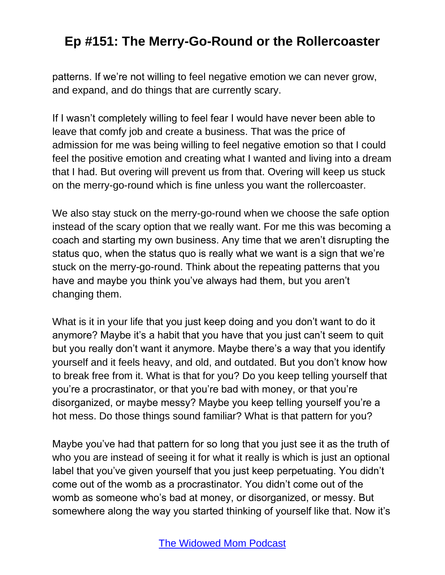patterns. If we're not willing to feel negative emotion we can never grow, and expand, and do things that are currently scary.

If I wasn't completely willing to feel fear I would have never been able to leave that comfy job and create a business. That was the price of admission for me was being willing to feel negative emotion so that I could feel the positive emotion and creating what I wanted and living into a dream that I had. But overing will prevent us from that. Overing will keep us stuck on the merry-go-round which is fine unless you want the rollercoaster.

We also stay stuck on the merry-go-round when we choose the safe option instead of the scary option that we really want. For me this was becoming a coach and starting my own business. Any time that we aren't disrupting the status quo, when the status quo is really what we want is a sign that we're stuck on the merry-go-round. Think about the repeating patterns that you have and maybe you think you've always had them, but you aren't changing them.

What is it in your life that you just keep doing and you don't want to do it anymore? Maybe it's a habit that you have that you just can't seem to quit but you really don't want it anymore. Maybe there's a way that you identify yourself and it feels heavy, and old, and outdated. But you don't know how to break free from it. What is that for you? Do you keep telling yourself that you're a procrastinator, or that you're bad with money, or that you're disorganized, or maybe messy? Maybe you keep telling yourself you're a hot mess. Do those things sound familiar? What is that pattern for you?

Maybe you've had that pattern for so long that you just see it as the truth of who you are instead of seeing it for what it really is which is just an optional label that you've given yourself that you just keep perpetuating. You didn't come out of the womb as a procrastinator. You didn't come out of the womb as someone who's bad at money, or disorganized, or messy. But somewhere along the way you started thinking of yourself like that. Now it's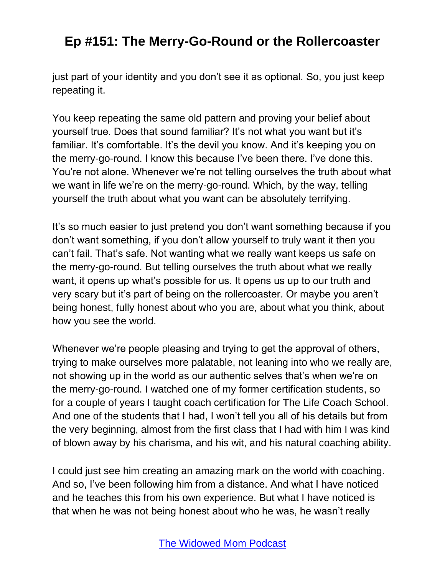just part of your identity and you don't see it as optional. So, you just keep repeating it.

You keep repeating the same old pattern and proving your belief about yourself true. Does that sound familiar? It's not what you want but it's familiar. It's comfortable. It's the devil you know. And it's keeping you on the merry-go-round. I know this because I've been there. I've done this. You're not alone. Whenever we're not telling ourselves the truth about what we want in life we're on the merry-go-round. Which, by the way, telling yourself the truth about what you want can be absolutely terrifying.

It's so much easier to just pretend you don't want something because if you don't want something, if you don't allow yourself to truly want it then you can't fail. That's safe. Not wanting what we really want keeps us safe on the merry-go-round. But telling ourselves the truth about what we really want, it opens up what's possible for us. It opens us up to our truth and very scary but it's part of being on the rollercoaster. Or maybe you aren't being honest, fully honest about who you are, about what you think, about how you see the world.

Whenever we're people pleasing and trying to get the approval of others, trying to make ourselves more palatable, not leaning into who we really are, not showing up in the world as our authentic selves that's when we're on the merry-go-round. I watched one of my former certification students, so for a couple of years I taught coach certification for The Life Coach School. And one of the students that I had, I won't tell you all of his details but from the very beginning, almost from the first class that I had with him I was kind of blown away by his charisma, and his wit, and his natural coaching ability.

I could just see him creating an amazing mark on the world with coaching. And so, I've been following him from a distance. And what I have noticed and he teaches this from his own experience. But what I have noticed is that when he was not being honest about who he was, he wasn't really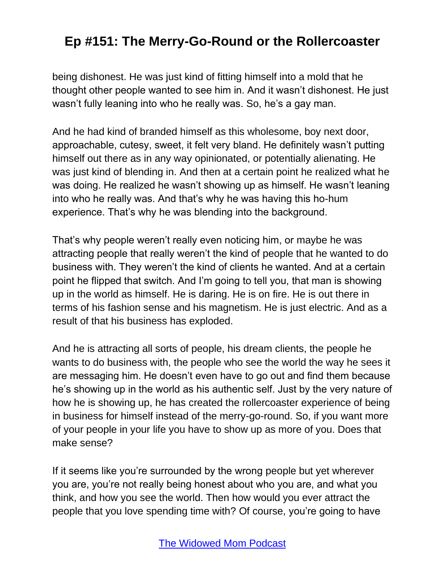being dishonest. He was just kind of fitting himself into a mold that he thought other people wanted to see him in. And it wasn't dishonest. He just wasn't fully leaning into who he really was. So, he's a gay man.

And he had kind of branded himself as this wholesome, boy next door, approachable, cutesy, sweet, it felt very bland. He definitely wasn't putting himself out there as in any way opinionated, or potentially alienating. He was just kind of blending in. And then at a certain point he realized what he was doing. He realized he wasn't showing up as himself. He wasn't leaning into who he really was. And that's why he was having this ho-hum experience. That's why he was blending into the background.

That's why people weren't really even noticing him, or maybe he was attracting people that really weren't the kind of people that he wanted to do business with. They weren't the kind of clients he wanted. And at a certain point he flipped that switch. And I'm going to tell you, that man is showing up in the world as himself. He is daring. He is on fire. He is out there in terms of his fashion sense and his magnetism. He is just electric. And as a result of that his business has exploded.

And he is attracting all sorts of people, his dream clients, the people he wants to do business with, the people who see the world the way he sees it are messaging him. He doesn't even have to go out and find them because he's showing up in the world as his authentic self. Just by the very nature of how he is showing up, he has created the rollercoaster experience of being in business for himself instead of the merry-go-round. So, if you want more of your people in your life you have to show up as more of you. Does that make sense?

If it seems like you're surrounded by the wrong people but yet wherever you are, you're not really being honest about who you are, and what you think, and how you see the world. Then how would you ever attract the people that you love spending time with? Of course, you're going to have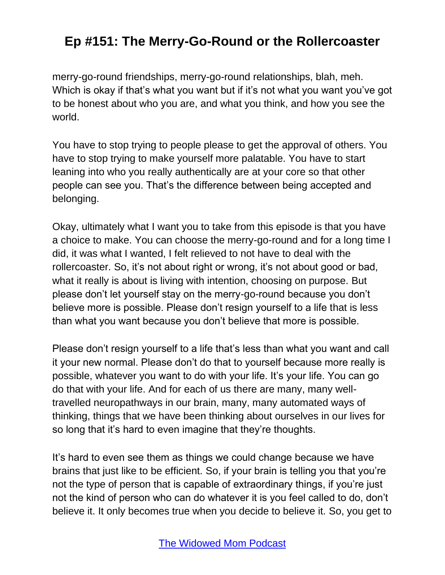merry-go-round friendships, merry-go-round relationships, blah, meh. Which is okay if that's what you want but if it's not what you want you've got to be honest about who you are, and what you think, and how you see the world.

You have to stop trying to people please to get the approval of others. You have to stop trying to make yourself more palatable. You have to start leaning into who you really authentically are at your core so that other people can see you. That's the difference between being accepted and belonging.

Okay, ultimately what I want you to take from this episode is that you have a choice to make. You can choose the merry-go-round and for a long time I did, it was what I wanted, I felt relieved to not have to deal with the rollercoaster. So, it's not about right or wrong, it's not about good or bad, what it really is about is living with intention, choosing on purpose. But please don't let yourself stay on the merry-go-round because you don't believe more is possible. Please don't resign yourself to a life that is less than what you want because you don't believe that more is possible.

Please don't resign yourself to a life that's less than what you want and call it your new normal. Please don't do that to yourself because more really is possible, whatever you want to do with your life. It's your life. You can go do that with your life. And for each of us there are many, many welltravelled neuropathways in our brain, many, many automated ways of thinking, things that we have been thinking about ourselves in our lives for so long that it's hard to even imagine that they're thoughts.

It's hard to even see them as things we could change because we have brains that just like to be efficient. So, if your brain is telling you that you're not the type of person that is capable of extraordinary things, if you're just not the kind of person who can do whatever it is you feel called to do, don't believe it. It only becomes true when you decide to believe it. So, you get to